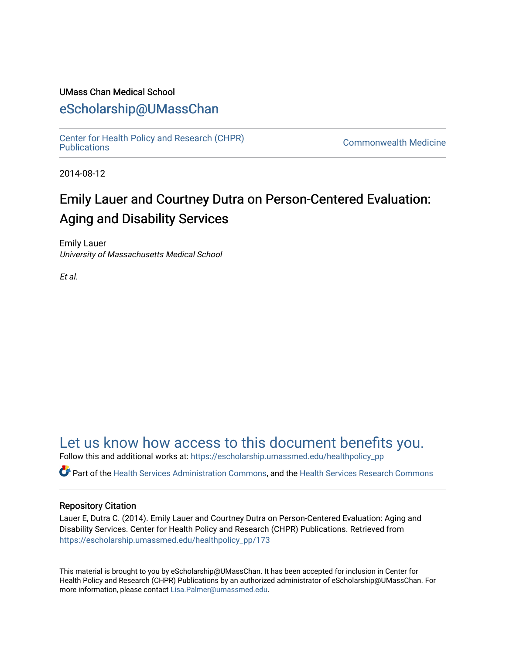#### UMass Chan Medical School

### [eScholarship@UMassChan](https://escholarship.umassmed.edu/)

[Center for Health Policy and Research \(CHPR\)](https://escholarship.umassmed.edu/healthpolicy_pp) 

**Commonwealth Medicine** 

2014-08-12

# Emily Lauer and Courtney Dutra on Person-Centered Evaluation: Aging and Disability Services

Emily Lauer University of Massachusetts Medical School

Et al.

## [Let us know how access to this document benefits you.](https://arcsapps.umassmed.edu/redcap/surveys/?s=XWRHNF9EJE)

Follow this and additional works at: [https://escholarship.umassmed.edu/healthpolicy\\_pp](https://escholarship.umassmed.edu/healthpolicy_pp?utm_source=escholarship.umassmed.edu%2Fhealthpolicy_pp%2F173&utm_medium=PDF&utm_campaign=PDFCoverPages) 

Part of the [Health Services Administration Commons,](http://network.bepress.com/hgg/discipline/747?utm_source=escholarship.umassmed.edu%2Fhealthpolicy_pp%2F173&utm_medium=PDF&utm_campaign=PDFCoverPages) and the [Health Services Research Commons](http://network.bepress.com/hgg/discipline/816?utm_source=escholarship.umassmed.edu%2Fhealthpolicy_pp%2F173&utm_medium=PDF&utm_campaign=PDFCoverPages)

#### Repository Citation

Lauer E, Dutra C. (2014). Emily Lauer and Courtney Dutra on Person-Centered Evaluation: Aging and Disability Services. Center for Health Policy and Research (CHPR) Publications. Retrieved from [https://escholarship.umassmed.edu/healthpolicy\\_pp/173](https://escholarship.umassmed.edu/healthpolicy_pp/173?utm_source=escholarship.umassmed.edu%2Fhealthpolicy_pp%2F173&utm_medium=PDF&utm_campaign=PDFCoverPages) 

This material is brought to you by eScholarship@UMassChan. It has been accepted for inclusion in Center for Health Policy and Research (CHPR) Publications by an authorized administrator of eScholarship@UMassChan. For more information, please contact [Lisa.Palmer@umassmed.edu.](mailto:Lisa.Palmer@umassmed.edu)